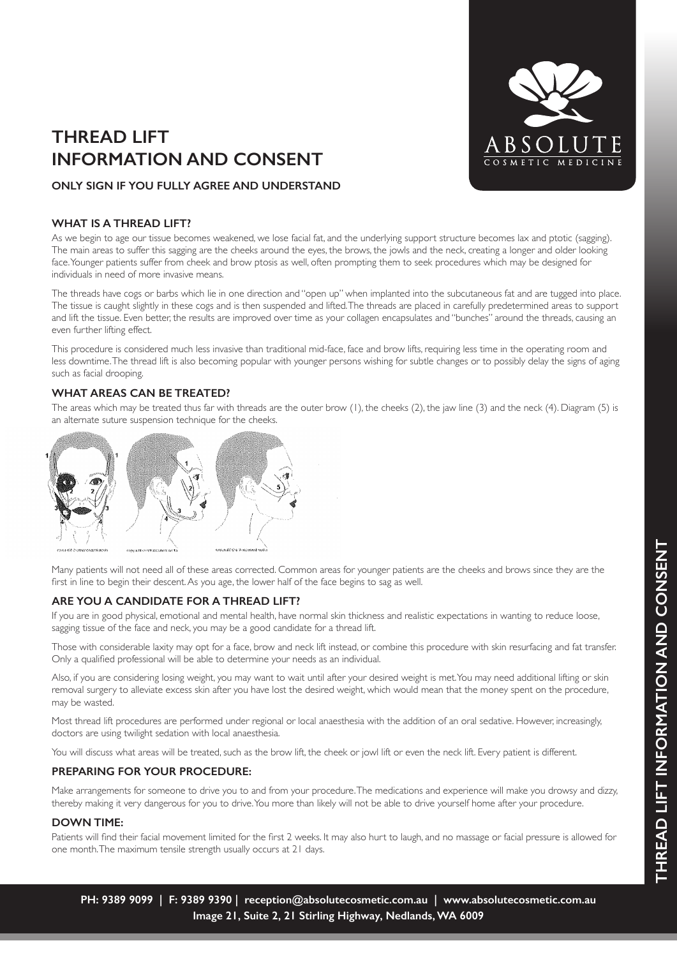# **THREAD LIFT INFORMATION AND CONSENT**



## **ONLY SIGN IF YOU FULLY AGREE AND UNDERSTAND**

### **WHAT IS A THREAD LIFT?**

As we begin to age our tissue becomes weakened, we lose facial fat, and the underlying support structure becomes lax and ptotic (sagging). The main areas to suffer this sagging are the cheeks around the eyes, the brows, the jowls and the neck, creating a longer and older looking face. Younger patients suffer from cheek and brow ptosis as well, often prompting them to seek procedures which may be designed for individuals in need of more invasive means.

The threads have cogs or barbs which lie in one direction and "open up" when implanted into the subcutaneous fat and are tugged into place. The tissue is caught slightly in these cogs and is then suspended and lifted. The threads are placed in carefully predetermined areas to support and lift the tissue. Even better, the results are improved over time as your collagen encapsulates and "bunches" around the threads, causing an even further lifting effect.

This procedure is considered much less invasive than traditional mid-face, face and brow lifts, requiring less time in the operating room and less downtime. The thread lift is also becoming popular with younger persons wishing for subtle changes or to possibly delay the signs of aging such as facial drooping.

## **WHAT AREAS CAN BE TREATED?**

The areas which may be treated thus far with threads are the outer brow (1), the cheeks (2), the jaw line (3) and the neck (4). Diagram (5) is an alternate suture suspension technique for the cheeks.



Many patients will not need all of these areas corrected. Common areas for younger patients are the cheeks and brows since they are the first in line to begin their descent. As you age, the lower half of the face begins to sag as well.

## **ARE YOU A CANDIDATE FOR A THREAD LIFT?**

If you are in good physical, emotional and mental health, have normal skin thickness and realistic expectations in wanting to reduce loose, sagging tissue of the face and neck, you may be a good candidate for a thread lift.

Those with considerable laxity may opt for a face, brow and neck lift instead, or combine this procedure with skin resurfacing and fat transfer. Only a qualified professional will be able to determine your needs as an individual.

Also, if you are considering losing weight, you may want to wait until after your desired weight is met. You may need additional lifting or skin removal surgery to alleviate excess skin after you have lost the desired weight, which would mean that the money spent on the procedure, may be wasted.

Most thread lift procedures are performed under regional or local anaesthesia with the addition of an oral sedative. However, increasingly, doctors are using twilight sedation with local anaesthesia.

You will discuss what areas will be treated, such as the brow lift, the cheek or jowl lift or even the neck lift. Every patient is different.

### **PREPARING FOR YOUR PROCEDURE:**

Make arrangements for someone to drive you to and from your procedure. The medications and experience will make you drowsy and dizzy, thereby making it very dangerous for you to drive. You more than likely will not be able to drive yourself home after your procedure.

### **DOWN TIME:**

Patients will find their facial movement limited for the first 2 weeks. It may also hurt to laugh, and no massage or facial pressure is allowed for one month. The maximum tensile strength usually occurs at 21 days.